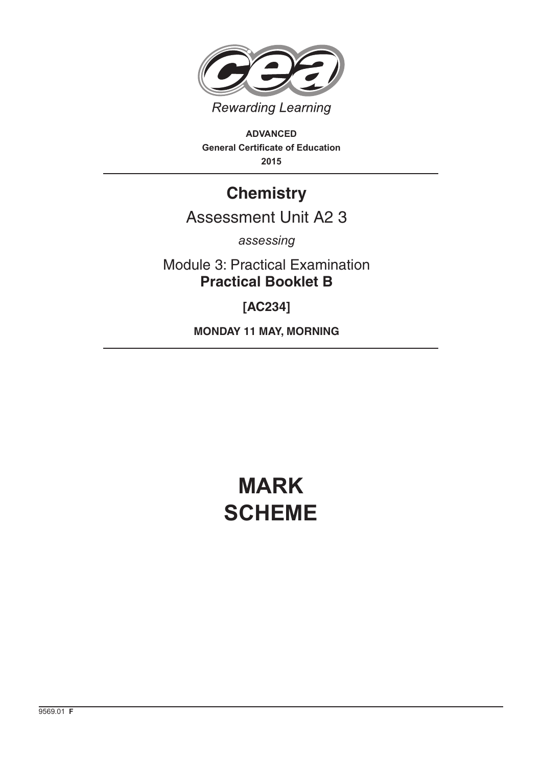

**ADVANCED General Certificate of Education 2015**

## **Chemistry**

### Assessment Unit A2 3

*assessing*

Module 3: Practical Examination **Practical Booklet B**

**[AC234]**

**MONDAY 11 MAY, MORNING**

# **MARK SCHEME**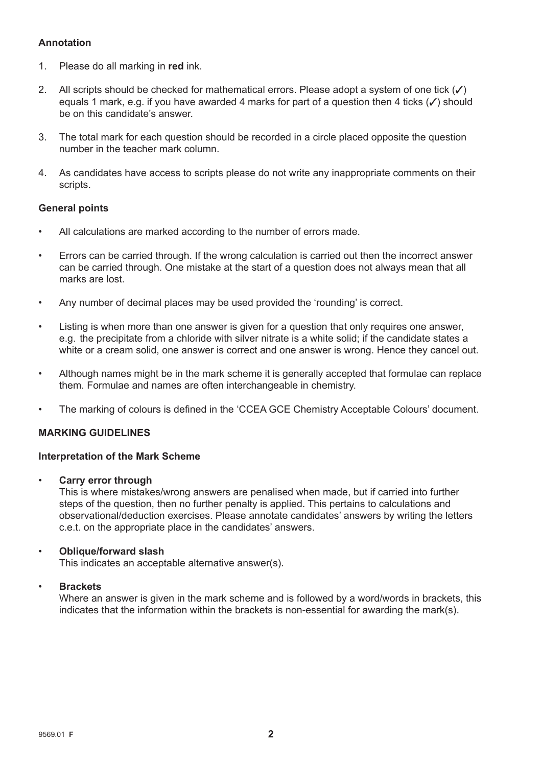#### **Annotation**

- 1. Please do all marking in **red** ink.
- 2. All scripts should be checked for mathematical errors. Please adopt a system of one tick  $(\checkmark)$ equals 1 mark, e.g. if you have awarded 4 marks for part of a question then 4 ticks  $(\checkmark)$  should be on this candidate's answer.
- 3. The total mark for each question should be recorded in a circle placed opposite the question number in the teacher mark column.
- 4. As candidates have access to scripts please do not write any inappropriate comments on their scripts.

#### **General points**

- All calculations are marked according to the number of errors made.
- Errors can be carried through. If the wrong calculation is carried out then the incorrect answer can be carried through. One mistake at the start of a question does not always mean that all marks are lost.
- Any number of decimal places may be used provided the 'rounding' is correct.
- Listing is when more than one answer is given for a question that only requires one answer, e.g. the precipitate from a chloride with silver nitrate is a white solid; if the candidate states a white or a cream solid, one answer is correct and one answer is wrong. Hence they cancel out.
- Although names might be in the mark scheme it is generally accepted that formulae can replace them. Formulae and names are often interchangeable in chemistry.
- The marking of colours is defined in the 'CCEA GCE Chemistry Acceptable Colours' document.

#### **MARKING GUIDELINES**

#### **Interpretation of the Mark Scheme**

• **Carry error through**

 This is where mistakes/wrong answers are penalised when made, but if carried into further steps of the question, then no further penalty is applied. This pertains to calculations and observational/deduction exercises. Please annotate candidates' answers by writing the letters c.e.t. on the appropriate place in the candidates' answers.

#### • **Oblique/forward slash**

This indicates an acceptable alternative answer(s).

#### • **Brackets**

 Where an answer is given in the mark scheme and is followed by a word/words in brackets, this indicates that the information within the brackets is non-essential for awarding the mark(s).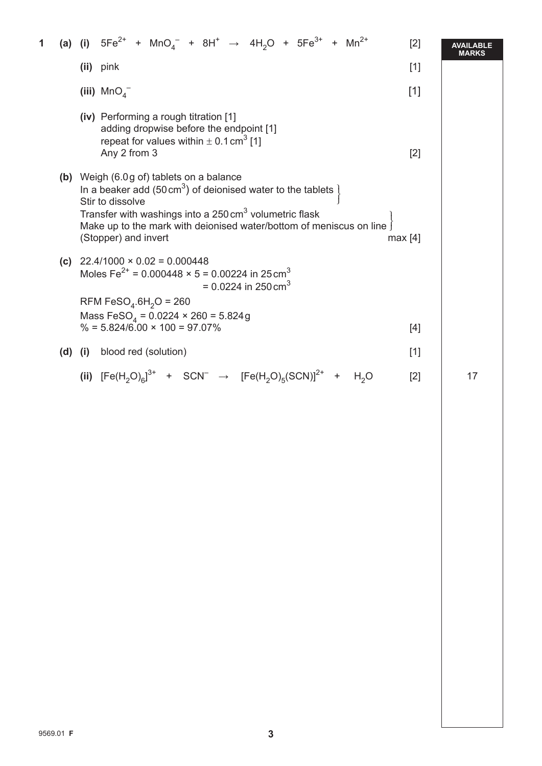| 1 |     | (a) (i) $5Fe^{2+}$ + MnO <sub>4</sub> <sup>-</sup> + 8H <sup>+</sup> $\rightarrow$ 4H <sub>2</sub> O + 5Fe <sup>3+</sup> + Mn <sup>2+</sup>                                                                                                                                                                                          | $[2]$ | MARKS |
|---|-----|--------------------------------------------------------------------------------------------------------------------------------------------------------------------------------------------------------------------------------------------------------------------------------------------------------------------------------------|-------|-------|
|   |     | (ii) pink                                                                                                                                                                                                                                                                                                                            | $[1]$ |       |
|   |     | (iii) $MnO4-$                                                                                                                                                                                                                                                                                                                        | $[1]$ |       |
|   |     | (iv) Performing a rough titration [1]<br>adding dropwise before the endpoint [1]<br>repeat for values within $\pm$ 0.1 cm <sup>3</sup> [1]<br>Any 2 from 3                                                                                                                                                                           | $[2]$ |       |
|   |     | (b) Weigh (6.0g of) tablets on a balance<br>In a beaker add (50 cm <sup>3</sup> ) of deionised water to the tablets $\frac{1}{2}$<br>Stir to dissolve<br>Transfer with washings into a 250 cm <sup>3</sup> volumetric flask<br>Make up to the mark with deionised water/bottom of meniscus on line<br>(Stopper) and invert<br>max[4] |       |       |
|   |     | (c) $22.4/1000 \times 0.02 = 0.000448$<br>Moles Fe <sup>2+</sup> = 0.000448 $\times$ 5 = 0.00224 in 25 cm <sup>3</sup><br>= 0.0224 in 250 cm <sup>3</sup><br>RFM FeSO <sub>4</sub> .6H <sub>2</sub> O = 260<br>Mass FeSO <sub>4</sub> = $0.0224 \times 260 = 5.824g$<br>$\% = 5.824/6.00 \times 100 = 97.07\%$                       | $[4]$ |       |
|   | (d) | (i) blood red (solution)                                                                                                                                                                                                                                                                                                             | $[1]$ |       |
|   |     | (ii) $[Fe(H, O)6]3+ + SCN^- \rightarrow [Fe(H, O)5(SCN)]2+ + H2O$                                                                                                                                                                                                                                                                    | [2]   | 17    |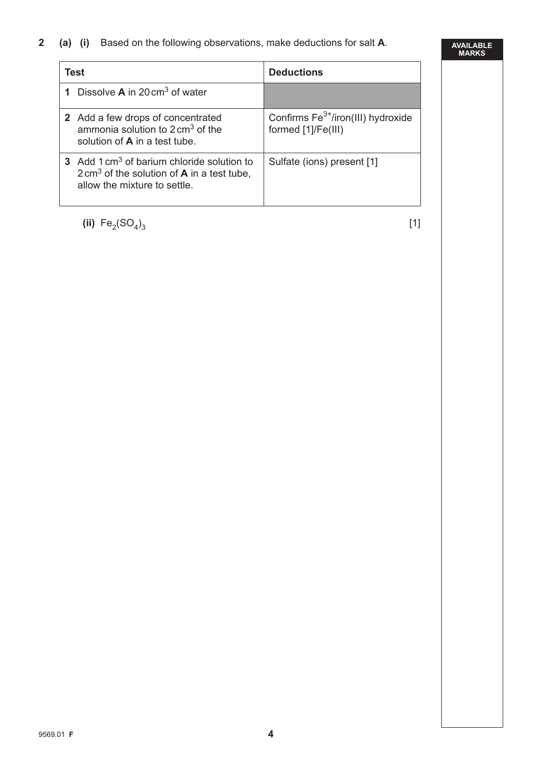### **2 (a) (i)** Based on the following observations, make deductions for salt **A**.

#### **AVAILABLE MARKS**

| Test                                                                                                                                                   | <b>Deductions</b>                                                    |
|--------------------------------------------------------------------------------------------------------------------------------------------------------|----------------------------------------------------------------------|
| 1 Dissolve $\mathbf A$ in 20 cm <sup>3</sup> of water                                                                                                  |                                                                      |
| 2 Add a few drops of concentrated<br>ammonia solution to $2 \text{ cm}^3$ of the<br>solution of <b>A</b> in a test tube.                               | Confirms Fe <sup>3+</sup> /iron(III) hydroxide<br>formed [1]/Fe(III) |
| 3 Add 1 cm <sup>3</sup> of barium chloride solution to<br>$2 \text{ cm}^3$ of the solution of <b>A</b> in a test tube,<br>allow the mixture to settle. | Sulfate (ions) present [1]                                           |

**(ii)**  $Fe_2(SO_4)_3$ 

 $_3$  [1]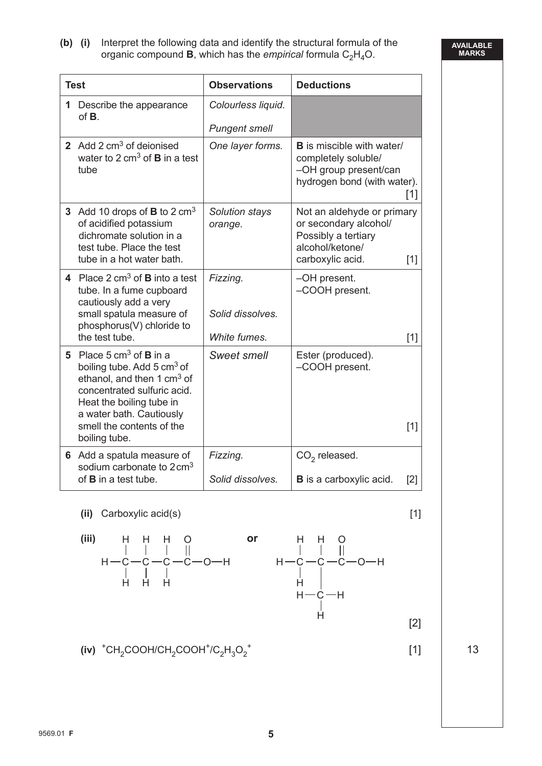**(iii)**

 $\overline{1}$ 

 $c - c - c$ 

H H

H

 $\left(\textsf{iv}\right)$   $^+\textsf{CH}_2$ COOH/CH<sub>2</sub>COOH<sup>+</sup>/C<sub>2</sub>H<sub>3</sub>O<sub>2</sub><sup>+</sup>

C

H

H H

 $H - C - C - C - C - D - H$ 

O

C

**(b) (i)** Interpret the following data and identify the structural formula of the organic compound **B**, which has the *empirical* formula C<sub>2</sub>H<sub>4</sub>O.

| <b>Test</b> |                                                                                                                                                                                                                                                                  | <b>Observations</b>                          | <b>Deductions</b>                                                                                                          |  |  |
|-------------|------------------------------------------------------------------------------------------------------------------------------------------------------------------------------------------------------------------------------------------------------------------|----------------------------------------------|----------------------------------------------------------------------------------------------------------------------------|--|--|
| 1           | Describe the appearance<br>$of B$ .                                                                                                                                                                                                                              | Colourless liquid.                           |                                                                                                                            |  |  |
|             |                                                                                                                                                                                                                                                                  | <b>Pungent smell</b>                         |                                                                                                                            |  |  |
|             | 2 Add 2 cm <sup>3</sup> of deionised<br>water to 2 $cm3$ of <b>B</b> in a test<br>tube                                                                                                                                                                           | One layer forms.                             | <b>B</b> is miscible with water/<br>completely soluble/<br>-OH group present/can<br>hydrogen bond (with water).<br>[1]     |  |  |
|             | 3 Add 10 drops of <b>B</b> to 2 cm <sup>3</sup><br>of acidified potassium<br>dichromate solution in a<br>test tube. Place the test<br>tube in a hot water bath.                                                                                                  | <b>Solution stays</b><br>orange.             | Not an aldehyde or primary<br>or secondary alcohol/<br>Possibly a tertiary<br>alcohol/ketone/<br>carboxylic acid.<br>$[1]$ |  |  |
|             | 4 Place $2 \text{ cm}^3$ of <b>B</b> into a test<br>tube. In a fume cupboard<br>cautiously add a very<br>small spatula measure of<br>phosphorus(V) chloride to<br>the test tube.                                                                                 | Fizzing.<br>Solid dissolves.<br>White fumes. | -OH present.<br>-COOH present.<br>$[1]$                                                                                    |  |  |
| 5           | Place $5 \text{ cm}^3$ of <b>B</b> in a<br>boiling tube. Add 5 cm <sup>3</sup> of<br>ethanol, and then 1 cm <sup>3</sup> of<br>concentrated sulfuric acid.<br>Heat the boiling tube in<br>a water bath. Cautiously<br>smell the contents of the<br>boiling tube. | Sweet smell                                  | Ester (produced).<br>-COOH present.<br>$[1]$                                                                               |  |  |
|             | <b>6</b> Add a spatula measure of<br>sodium carbonate to $2 \text{ cm}^3$<br>of $B$ in a test tube.                                                                                                                                                              | Fizzing.<br>Solid dissolves.                 | $CO2$ released.<br><b>B</b> is a carboxylic acid.<br>[2]                                                                   |  |  |

**or** 

[2]

# **(ii)** Carboxylic acid(s) [1]

O

C

 $H - C - C$ 

C

H

H H

 $\mathsf{H} \mathsf{--} \mathsf{C} \mathsf{--} \mathsf{H}$ H

and the contract of  $[1]$  13

 $O - H$ 

#### **AVAILABLE MARKS**